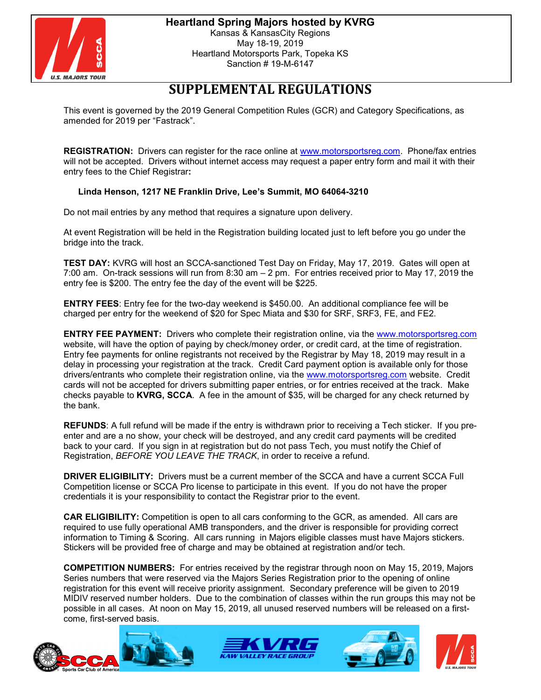

# **SUPPLEMENTAL REGULATIONS**

This event is governed by the 2019 General Competition Rules (GCR) and Category Specifications, as amended for 2019 per "Fastrack".

**REGISTRATION:** Drivers can register for the race online at [www.motorsportsreg.com.](https://www.motorsportreg.com/) Phone/fax entries will not be accepted. Drivers without internet access may request a paper entry form and mail it with their entry fees to the Chief Registrar**:**

## **Linda Henson, 1217 NE Franklin Drive, Lee's Summit, MO 64064-3210**

Do not mail entries by any method that requires a signature upon delivery.

At event Registration will be held in the Registration building located just to left before you go under the bridge into the track.

**TEST DAY:** KVRG will host an SCCA-sanctioned Test Day on Friday, May 17, 2019. Gates will open at 7:00 am. On-track sessions will run from 8:30 am – 2 pm. For entries received prior to May 17, 2019 the entry fee is \$200. The entry fee the day of the event will be \$225.

**ENTRY FEES**: Entry fee for the two-day weekend is \$450.00. An additional compliance fee will be charged per entry for the weekend of \$20 for Spec Miata and \$30 for SRF, SRF3, FE, and FE2.

**ENTRY FEE PAYMENT:** Drivers who complete their registration online, via the [www.motorsportsreg.com](https://www.motorsportreg.com/) website, will have the option of paying by check/money order, or credit card, at the time of registration. Entry fee payments for online registrants not received by the Registrar by May 18, 2019 may result in a delay in processing your registration at the track. Credit Card payment option is available only for those drivers/entrants who complete their registration online, via the [www.motorsportsreg.com](https://www.motorsportreg.com/) website. Credit cards will not be accepted for drivers submitting paper entries, or for entries received at the track. Make checks payable to **KVRG, SCCA**. A fee in the amount of \$35, will be charged for any check returned by the bank.

**REFUNDS**: A full refund will be made if the entry is withdrawn prior to receiving a Tech sticker. If you preenter and are a no show, your check will be destroyed, and any credit card payments will be credited back to your card. If you sign in at registration but do not pass Tech, you must notify the Chief of Registration, *BEFORE YOU LEAVE THE TRACK*, in order to receive a refund.

**DRIVER ELIGIBILITY:** Drivers must be a current member of the SCCA and have a current SCCA Full Competition license or SCCA Pro license to participate in this event. If you do not have the proper credentials it is your responsibility to contact the Registrar prior to the event.

**CAR ELIGIBILITY:** Competition is open to all cars conforming to the GCR, as amended. All cars are required to use fully operational AMB transponders, and the driver is responsible for providing correct information to Timing & Scoring. All cars running in Majors eligible classes must have Majors stickers. Stickers will be provided free of charge and may be obtained at registration and/or tech.

**COMPETITION NUMBERS:** For entries received by the registrar through noon on May 15, 2019, Majors Series numbers that were reserved via the Majors Series Registration prior to the opening of online registration for this event will receive priority assignment. Secondary preference will be given to 2019 MIDIV reserved number holders. Due to the combination of classes within the run groups this may not be possible in all cases. At noon on May 15, 2019, all unused reserved numbers will be released on a firstcome, first-served basis.







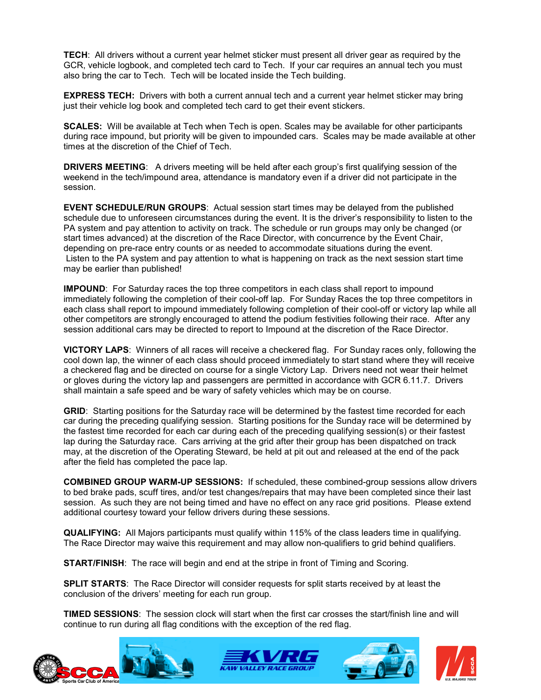**TECH**: All drivers without a current year helmet sticker must present all driver gear as required by the GCR, vehicle logbook, and completed tech card to Tech. If your car requires an annual tech you must also bring the car to Tech. Tech will be located inside the Tech building.

**EXPRESS TECH:** Drivers with both a current annual tech and a current year helmet sticker may bring just their vehicle log book and completed tech card to get their event stickers.

**SCALES:** Will be available at Tech when Tech is open. Scales may be available for other participants during race impound, but priority will be given to impounded cars. Scales may be made available at other times at the discretion of the Chief of Tech.

**DRIVERS MEETING**: A drivers meeting will be held after each group's first qualifying session of the weekend in the tech/impound area, attendance is mandatory even if a driver did not participate in the session.

**EVENT SCHEDULE/RUN GROUPS**: Actual session start times may be delayed from the published schedule due to unforeseen circumstances during the event. It is the driver's responsibility to listen to the PA system and pay attention to activity on track. The schedule or run groups may only be changed (or start times advanced) at the discretion of the Race Director, with concurrence by the Event Chair, depending on pre-race entry counts or as needed to accommodate situations during the event. Listen to the PA system and pay attention to what is happening on track as the next session start time may be earlier than published!

**IMPOUND:** For Saturday races the top three competitors in each class shall report to impound immediately following the completion of their cool-off lap. For Sunday Races the top three competitors in each class shall report to impound immediately following completion of their cool-off or victory lap while all other competitors are strongly encouraged to attend the podium festivities following their race. After any session additional cars may be directed to report to Impound at the discretion of the Race Director.

**VICTORY LAPS**: Winners of all races will receive a checkered flag. For Sunday races only, following the cool down lap, the winner of each class should proceed immediately to start stand where they will receive a checkered flag and be directed on course for a single Victory Lap. Drivers need not wear their helmet or gloves during the victory lap and passengers are permitted in accordance with GCR 6.11.7. Drivers shall maintain a safe speed and be wary of safety vehicles which may be on course.

**GRID**: Starting positions for the Saturday race will be determined by the fastest time recorded for each car during the preceding qualifying session. Starting positions for the Sunday race will be determined by the fastest time recorded for each car during each of the preceding qualifying session(s) or their fastest lap during the Saturday race. Cars arriving at the grid after their group has been dispatched on track may, at the discretion of the Operating Steward, be held at pit out and released at the end of the pack after the field has completed the pace lap.

**COMBINED GROUP WARM-UP SESSIONS:** If scheduled, these combined-group sessions allow drivers to bed brake pads, scuff tires, and/or test changes/repairs that may have been completed since their last session. As such they are not being timed and have no effect on any race grid positions. Please extend additional courtesy toward your fellow drivers during these sessions.

**QUALIFYING:** All Majors participants must qualify within 115% of the class leaders time in qualifying. The Race Director may waive this requirement and may allow non-qualifiers to grid behind qualifiers.

**START/FINISH**: The race will begin and end at the stripe in front of Timing and Scoring.

**SPLIT STARTS**: The Race Director will consider requests for split starts received by at least the conclusion of the drivers' meeting for each run group.

**TIMED SESSIONS**: The session clock will start when the first car crosses the start/finish line and will continue to run during all flag conditions with the exception of the red flag.







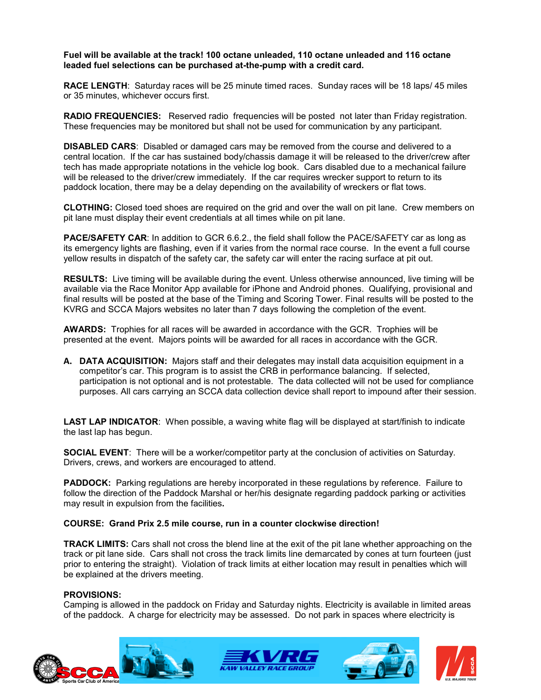**Fuel will be available at the track! 100 octane unleaded, 110 octane unleaded and 116 octane leaded fuel selections can be purchased at-the-pump with a credit card.**

**RACE LENGTH**: Saturday races will be 25 minute timed races. Sunday races will be 18 laps/ 45 miles or 35 minutes, whichever occurs first.

**RADIO FREQUENCIES:** Reserved radio frequencies will be posted not later than Friday registration. These frequencies may be monitored but shall not be used for communication by any participant.

**DISABLED CARS**: Disabled or damaged cars may be removed from the course and delivered to a central location. If the car has sustained body/chassis damage it will be released to the driver/crew after tech has made appropriate notations in the vehicle log book. Cars disabled due to a mechanical failure will be released to the driver/crew immediately. If the car requires wrecker support to return to its paddock location, there may be a delay depending on the availability of wreckers or flat tows.

**CLOTHING:** Closed toed shoes are required on the grid and over the wall on pit lane. Crew members on pit lane must display their event credentials at all times while on pit lane.

**PACE/SAFETY CAR**: In addition to GCR 6.6.2., the field shall follow the PACE/SAFETY car as long as its emergency lights are flashing, even if it varies from the normal race course. In the event a full course yellow results in dispatch of the safety car, the safety car will enter the racing surface at pit out.

**RESULTS:** Live timing will be available during the event. Unless otherwise announced, live timing will be available via the Race Monitor App available for iPhone and Android phones. Qualifying, provisional and final results will be posted at the base of the Timing and Scoring Tower. Final results will be posted to the KVRG and SCCA Majors websites no later than 7 days following the completion of the event.

**AWARDS:** Trophies for all races will be awarded in accordance with the GCR. Trophies will be presented at the event. Majors points will be awarded for all races in accordance with the GCR.

**A. DATA ACQUISITION:** Majors staff and their delegates may install data acquisition equipment in a competitor's car. This program is to assist the CRB in performance balancing. If selected, participation is not optional and is not protestable. The data collected will not be used for compliance purposes. All cars carrying an SCCA data collection device shall report to impound after their session.

**LAST LAP INDICATOR**: When possible, a waving white flag will be displayed at start/finish to indicate the last lap has begun.

**SOCIAL EVENT:** There will be a worker/competitor party at the conclusion of activities on Saturday. Drivers, crews, and workers are encouraged to attend.

**PADDOCK:** Parking regulations are hereby incorporated in these regulations by reference. Failure to follow the direction of the Paddock Marshal or her/his designate regarding paddock parking or activities may result in expulsion from the facilities**.** 

#### **COURSE: Grand Prix 2.5 mile course, run in a counter clockwise direction!**

**TRACK LIMITS:** Cars shall not cross the blend line at the exit of the pit lane whether approaching on the track or pit lane side. Cars shall not cross the track limits line demarcated by cones at turn fourteen (just prior to entering the straight). Violation of track limits at either location may result in penalties which will be explained at the drivers meeting.

#### **PROVISIONS:**

Camping is allowed in the paddock on Friday and Saturday nights. Electricity is available in limited areas of the paddock. A charge for electricity may be assessed. Do not park in spaces where electricity is